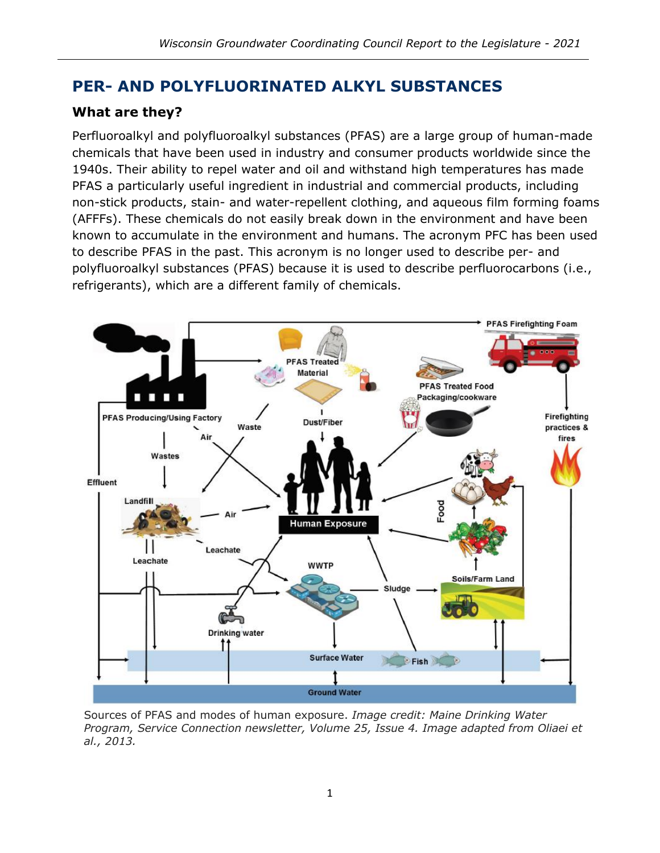# **PER- AND POLYFLUORINATED ALKYL SUBSTANCES**

## **What are they?**

Perfluoroalkyl and polyfluoroalkyl substances (PFAS) are a large group of human-made chemicals that have been used in industry and consumer products worldwide since the 1940s. Their ability to repel water and oil and withstand high temperatures has made PFAS a particularly useful ingredient in industrial and commercial products, including non-stick products, stain- and water-repellent clothing, and aqueous film forming foams (AFFFs). These chemicals do not easily break down in the environment and have been known to accumulate in the environment and humans. The acronym PFC has been used to describe PFAS in the past. This acronym is no longer used to describe per- and polyfluoroalkyl substances (PFAS) because it is used to describe perfluorocarbons (i.e., refrigerants), which are a different family of chemicals.



Sources of PFAS and modes of human exposure. *Image credit: Maine Drinking Water Program, Service Connection newsletter, Volume 25, Issue 4. Image adapted from Oliaei et al., 2013.*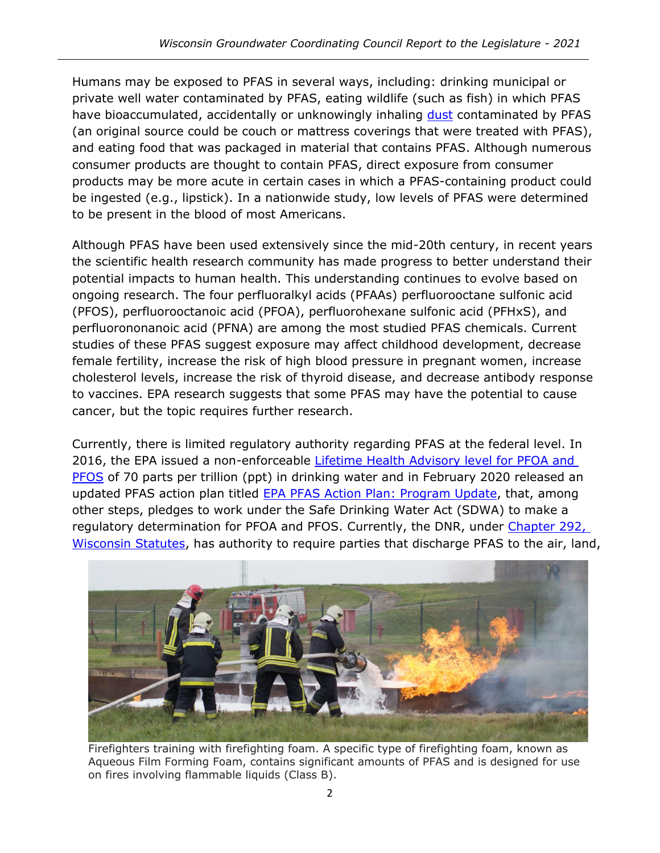Humans may be exposed to PFAS in several ways, including: drinking municipal or private well water contaminated by PFAS, eating wildlife (such as fish) in which PFAS have bioaccumulated, accidentally or unknowingly inhaling [dust](https://www.health.pa.gov/topics/Documents/Environmental%20Health/PEATT%20Environmental%20Assessment%20Report%20-%206-24-2020.pdf) contaminated by PFAS (an original source could be couch or mattress coverings that were treated with PFAS), and eating food that was packaged in material that contains PFAS. Although numerous consumer products are thought to contain PFAS, direct exposure from consumer products may be more acute in certain cases in which a PFAS-containing product could be ingested (e.g., lipstick). In a nationwide study, low levels of PFAS were determined to be present in the blood of most Americans.

Although PFAS have been used extensively since the mid-20th century, in recent years the scientific health research community has made progress to better understand their potential impacts to human health. This understanding continues to evolve based on ongoing research. The four perfluoralkyl acids (PFAAs) perfluorooctane sulfonic acid (PFOS), perfluorooctanoic acid (PFOA), perfluorohexane sulfonic acid (PFHxS), and perfluorononanoic acid (PFNA) are among the most studied PFAS chemicals. Current studies of these PFAS suggest exposure may affect childhood development, decrease female fertility, increase the risk of high blood pressure in pregnant women, increase cholesterol levels, increase the risk of thyroid disease, and decrease antibody response to vaccines. EPA research suggests that some PFAS may have the potential to cause cancer, but the topic requires further research.

Currently, there is limited regulatory authority regarding PFAS at the federal level. In 2016, the EPA issued a non-enforceable Lifetime Health Advisory level for PFOA and **[PFOS](https://www.epa.gov/ground-water-and-drinking-water/drinking-water-health-advisories-pfoa-and-pfos)** of 70 parts per trillion (ppt) in drinking water and in February 2020 released an updated PFAS action plan titled [EPA PFAS Action Plan: Program Update,](https://www.epa.gov/pfas/epas-pfas-action-plan) that, among other steps, pledges to work under the Safe Drinking Water Act (SDWA) to make a regulatory determination for PFOA and PFOS. Currently, the DNR, under Chapter 292, [Wisconsin Statutes,](https://docs.legis.wisconsin.gov/statutes/statutes/292) has authority to require parties that discharge PFAS to the air, land,



Firefighters training with firefighting foam. A specific type of firefighting foam, known as Aqueous Film Forming Foam, contains significant amounts of PFAS and is designed for use on fires involving flammable liquids (Class B).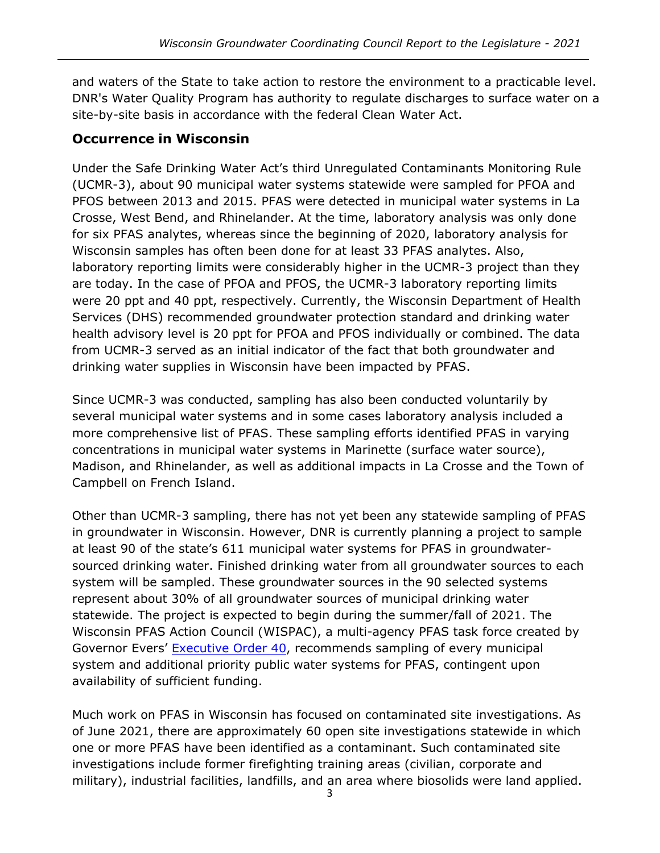and waters of the State to take action to restore the environment to a practicable level. DNR's Water Quality Program has authority to regulate discharges to surface water on a site-by-site basis in accordance with the federal Clean Water Act.

### **Occurrence in Wisconsin**

Under the Safe Drinking Water Act's third Unregulated Contaminants Monitoring Rule (UCMR-3), about 90 municipal water systems statewide were sampled for PFOA and PFOS between 2013 and 2015. PFAS were detected in municipal water systems in La Crosse, West Bend, and Rhinelander. At the time, laboratory analysis was only done for six PFAS analytes, whereas since the beginning of 2020, laboratory analysis for Wisconsin samples has often been done for at least 33 PFAS analytes. Also, laboratory reporting limits were considerably higher in the UCMR-3 project than they are today. In the case of PFOA and PFOS, the UCMR-3 laboratory reporting limits were 20 ppt and 40 ppt, respectively. Currently, the Wisconsin Department of Health Services (DHS) recommended groundwater protection standard and drinking water health advisory level is 20 ppt for PFOA and PFOS individually or combined. The data from UCMR-3 served as an initial indicator of the fact that both groundwater and drinking water supplies in Wisconsin have been impacted by PFAS.

Since UCMR-3 was conducted, sampling has also been conducted voluntarily by several municipal water systems and in some cases laboratory analysis included a more comprehensive list of PFAS. These sampling efforts identified PFAS in varying concentrations in municipal water systems in Marinette (surface water source), Madison, and Rhinelander, as well as additional impacts in La Crosse and the Town of Campbell on French Island.

Other than UCMR-3 sampling, there has not yet been any statewide sampling of PFAS in groundwater in Wisconsin. However, DNR is currently planning a project to sample at least 90 of the state's 611 municipal water systems for PFAS in groundwatersourced drinking water. Finished drinking water from all groundwater sources to each system will be sampled. These groundwater sources in the 90 selected systems represent about 30% of all groundwater sources of municipal drinking water statewide. The project is expected to begin during the summer/fall of 2021. The Wisconsin PFAS Action Council (WISPAC), a multi-agency PFAS task force created by Governor Evers' [Executive Order](https://evers.wi.gov/Documents/EO/EO%2040%20-%20PFAS.pdf) 40, recommends sampling of every municipal system and additional priority public water systems for PFAS, contingent upon availability of sufficient funding.

Much work on PFAS in Wisconsin has focused on contaminated site investigations. As of June 2021, there are approximately 60 open site investigations statewide in which one or more PFAS have been identified as a contaminant. Such contaminated site investigations include former firefighting training areas (civilian, corporate and military), industrial facilities, landfills, and an area where biosolids were land applied.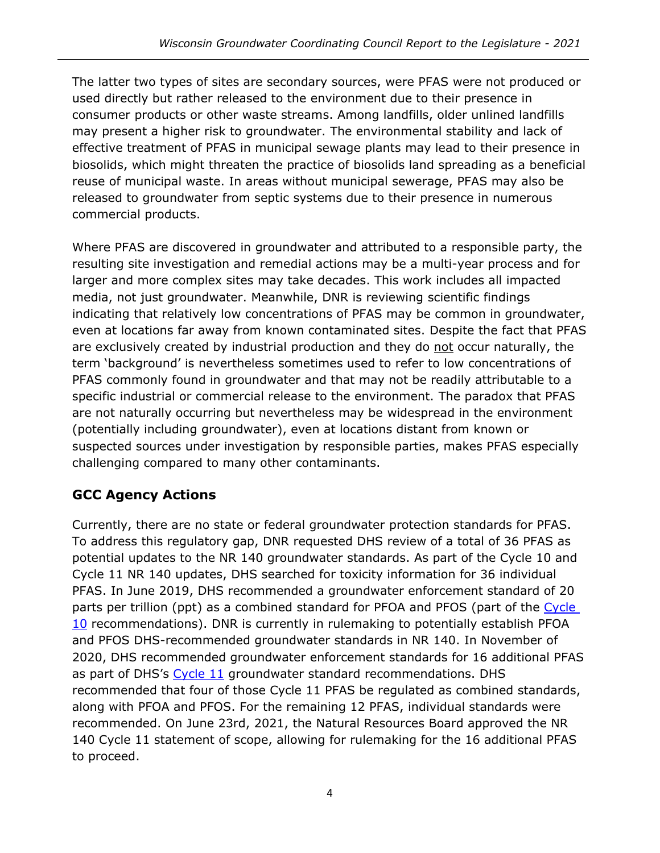The latter two types of sites are secondary sources, were PFAS were not produced or used directly but rather released to the environment due to their presence in consumer products or other waste streams. Among landfills, older unlined landfills may present a higher risk to groundwater. The environmental stability and lack of effective treatment of PFAS in municipal sewage plants may lead to their presence in biosolids, which might threaten the practice of biosolids land spreading as a beneficial reuse of municipal waste. In areas without municipal sewerage, PFAS may also be released to groundwater from septic systems due to their presence in numerous commercial products.

Where PFAS are discovered in groundwater and attributed to a responsible party, the resulting site investigation and remedial actions may be a multi-year process and for larger and more complex sites may take decades. This work includes all impacted media, not just groundwater. Meanwhile, DNR is reviewing scientific findings indicating that relatively low concentrations of PFAS may be common in groundwater, even at locations far away from known contaminated sites. Despite the fact that PFAS are exclusively created by industrial production and they do not occur naturally, the term 'background' is nevertheless sometimes used to refer to low concentrations of PFAS commonly found in groundwater and that may not be readily attributable to a specific industrial or commercial release to the environment. The paradox that PFAS are not naturally occurring but nevertheless may be widespread in the environment (potentially including groundwater), even at locations distant from known or suspected sources under investigation by responsible parties, makes PFAS especially challenging compared to many other contaminants.

## **GCC Agency Actions**

Currently, there are no state or federal groundwater protection standards for PFAS. To address this regulatory gap, DNR requested DHS review of a total of 36 PFAS as potential updates to the NR 140 groundwater standards. As part of the Cycle 10 and Cycle 11 NR 140 updates, DHS searched for toxicity information for 36 individual PFAS. In June 2019, DHS recommended a groundwater enforcement standard of 20 parts per trillion (ppt) as a combined standard for PFOA and PFOS (part of the Cycle [10](https://www.dhs.wisconsin.gov/water/gws-cycle10.htm) recommendations). DNR is currently in rulemaking to potentially establish PFOA and PFOS DHS-recommended groundwater standards in NR 140. In November of 2020, DHS recommended groundwater enforcement standards for 16 additional PFAS as part of DHS's [Cycle 11](https://www.dhs.wisconsin.gov/water/gws-cycle11.htm) groundwater standard recommendations. DHS recommended that four of those Cycle 11 PFAS be regulated as combined standards, along with PFOA and PFOS. For the remaining 12 PFAS, individual standards were recommended. On June 23rd, 2021, the Natural Resources Board approved the NR 140 Cycle 11 statement of scope, allowing for rulemaking for the 16 additional PFAS to proceed.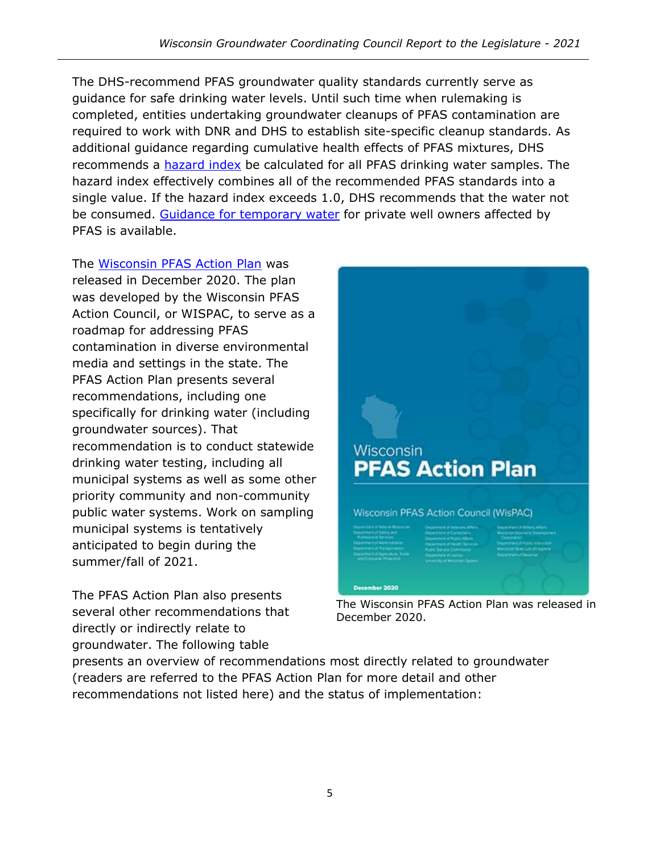The DHS-recommend PFAS groundwater quality standards currently serve as guidance for safe drinking water levels. Until such time when rulemaking is completed, entities undertaking groundwater cleanups of PFAS contamination are required to work with DNR and DHS to establish site-specific cleanup standards. As additional guidance regarding cumulative health effects of PFAS mixtures, DHS recommends a [hazard index](https://dnr.wisconsin.gov/sites/default/files/topic/PFAS/DHSHazIndexLetter20210608.pdf) be calculated for all PFAS drinking water samples. The hazard index effectively combines all of the recommended PFAS standards into a single value. If the hazard index exceeds 1.0, DHS recommends that the water not be consumed. [Guidance for temporary water](https://dnr.wi.gov/files/PDF/pubs/rr/RR0131.pdf) for private well owners affected by PFAS is available.

The [Wisconsin PFAS Action Plan](https://dnr.wisconsin.gov/topic/PFAS/ActionPlan.html) was released in December 2020. The plan was developed by the Wisconsin PFAS Action Council, or WISPAC, to serve as a roadmap for addressing PFAS contamination in diverse environmental media and settings in the state. The PFAS Action Plan presents several recommendations, including one specifically for drinking water (including groundwater sources). That recommendation is to conduct statewide drinking water testing, including all municipal systems as well as some other priority community and non-community public water systems. Work on sampling municipal systems is tentatively anticipated to begin during the summer/fall of 2021.

The PFAS Action Plan also presents several other recommendations that directly or indirectly relate to groundwater. The following table



The Wisconsin PFAS Action Plan was released in December 2020.

presents an overview of recommendations most directly related to groundwater (readers are referred to the PFAS Action Plan for more detail and other recommendations not listed here) and the status of implementation: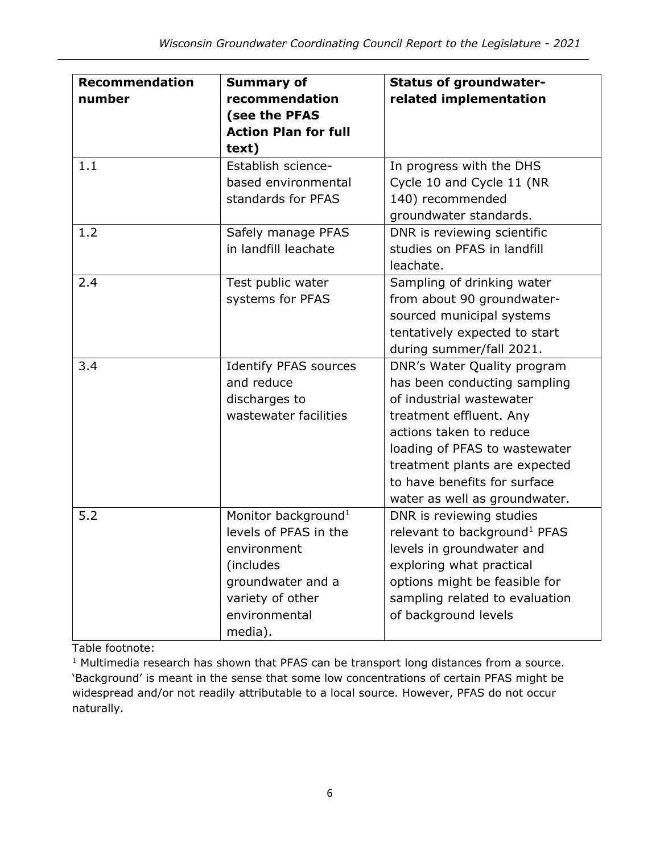| <b>Recommendation</b> | <b>Summary of</b>               | <b>Status of groundwater-</b>            |
|-----------------------|---------------------------------|------------------------------------------|
| number                | recommendation                  | related implementation                   |
|                       | (see the PFAS                   |                                          |
|                       | <b>Action Plan for full</b>     |                                          |
|                       | text)                           |                                          |
| 1.1                   | Establish science-              | In progress with the DHS                 |
|                       | based environmental             | Cycle 10 and Cycle 11 (NR                |
|                       | standards for PFAS              | 140) recommended                         |
|                       |                                 | groundwater standards.                   |
| 1.2                   | Safely manage PFAS              | DNR is reviewing scientific              |
|                       | in landfill leachate            | studies on PFAS in landfill              |
|                       |                                 | leachate.                                |
| 2.4                   | Test public water               | Sampling of drinking water               |
|                       | systems for PFAS                | from about 90 groundwater-               |
|                       |                                 | sourced municipal systems                |
|                       |                                 | tentatively expected to start            |
|                       |                                 | during summer/fall 2021.                 |
| 3.4                   | <b>Identify PFAS sources</b>    | DNR's Water Quality program              |
|                       | and reduce                      | has been conducting sampling             |
|                       | discharges to                   | of industrial wastewater                 |
|                       | wastewater facilities           | treatment effluent. Any                  |
|                       |                                 | actions taken to reduce                  |
|                       |                                 | loading of PFAS to wastewater            |
|                       |                                 | treatment plants are expected            |
|                       |                                 | to have benefits for surface             |
|                       |                                 | water as well as groundwater.            |
| 5.2                   | Monitor background <sup>1</sup> | DNR is reviewing studies                 |
|                       | levels of PFAS in the           | relevant to background <sup>1</sup> PFAS |
|                       | environment                     | levels in groundwater and                |
|                       | (includes                       | exploring what practical                 |
|                       | groundwater and a               | options might be feasible for            |
|                       | variety of other                | sampling related to evaluation           |
|                       | environmental                   | of background levels                     |
|                       | media).                         |                                          |

Table footnote:

<sup>&</sup>lt;sup>1</sup> Multimedia research has shown that PFAS can be transport long distances from a source. 'Background' is meant in the sense that some low concentrations of certain PFAS might be widespread and/or not readily attributable to a local source. However, PFAS do not occur naturally.